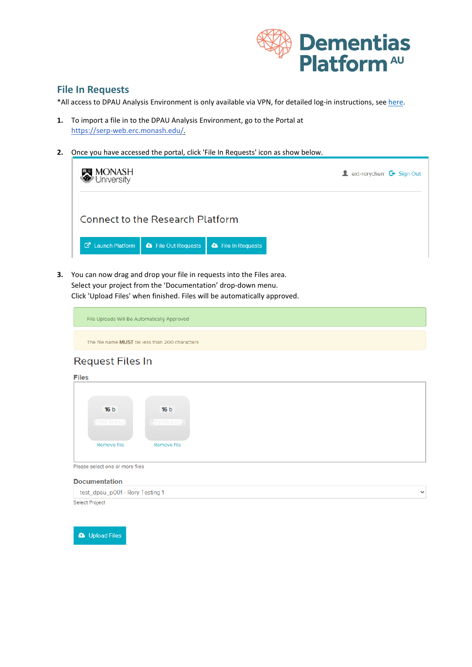

 $\checkmark$ 

## **File In Requests**

\*All access to DPAU Analysis Environment is only available via VPN, for detailed log-in instructions, see [here.](https://dementiasplatform.com.au/sites/default/files/documents/1_Logging_in_to_DPAU_Analysis_Environment.pdf)

- **1.** To import a file in to the DPAU Analysis Environment, go to the Portal at [https://serp-web.erc.monash.edu/.](https://serp-web.erc.monash.edu/)
- **2.** Once you have accessed the portal, click 'File In Requests' icon as show below.

| <b>MONASH</b><br>University |                                  |                           | <b>A</b> ext-rorychen $\mathbf{\mathbf{\mathbf{\mathsf{C}}}}$ Sign Out |
|-----------------------------|----------------------------------|---------------------------|------------------------------------------------------------------------|
|                             | Connect to the Research Platform |                           |                                                                        |
| <b>C</b> Launch Platform    | <b>&amp;</b> File Out Requests   | <b>a</b> File In Requests |                                                                        |

**3.** You can now drag and drop your file in requests into the Files area. Select your project from the 'Documentation' drop-down menu. Click 'Upload Files' when finished. Files will be automatically approved.

> File Uploads Will Be Automatically Approved The file name MUST be less than 200 characters

## **Request Files In**

| <b>Files</b>         |                 |  |  |
|----------------------|-----------------|--|--|
|                      |                 |  |  |
|                      |                 |  |  |
|                      |                 |  |  |
| 16 <sub>b</sub>      | 16 <sub>b</sub> |  |  |
| <b>TEST FILE.bxt</b> | TEST FILE 2.t.  |  |  |
|                      |                 |  |  |
|                      |                 |  |  |
| Remove file          | Remove file     |  |  |
|                      |                 |  |  |
|                      |                 |  |  |

Please select one or more files

## **Documentation** test\_dpau\_p001 - Rory Testing 1

Select Project

**a** Upload Files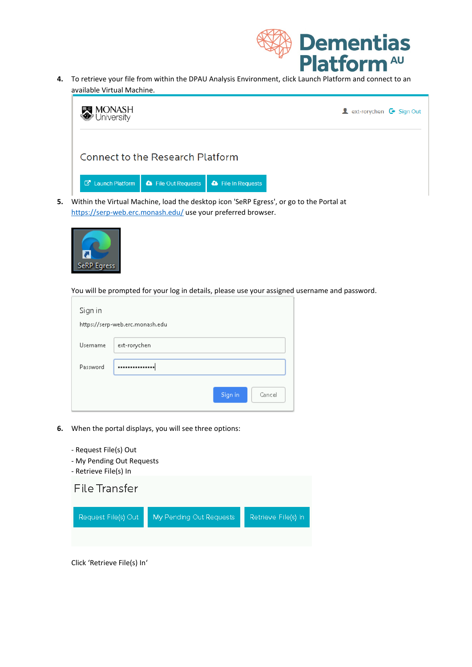

**4.** To retrieve your file from within the DPAU Analysis Environment, click Launch Platform and connect to an available Virtual Machine.



<https://serp-web.erc.monash.edu/> use your preferred browser.



You will be prompted for your log in details, please use your assigned username and password.

| Sign in  | https://serp-web.erc.monash.edu |
|----------|---------------------------------|
| Username | ext-rorychen                    |
| Password |                                 |
|          | Sign in<br>Cancel               |

- **6.** When the portal displays, you will see three options:
	- Request File(s) Out
	- My Pending Out Requests
	- Retrieve File(s) In



Click 'Retrieve File(s) In'